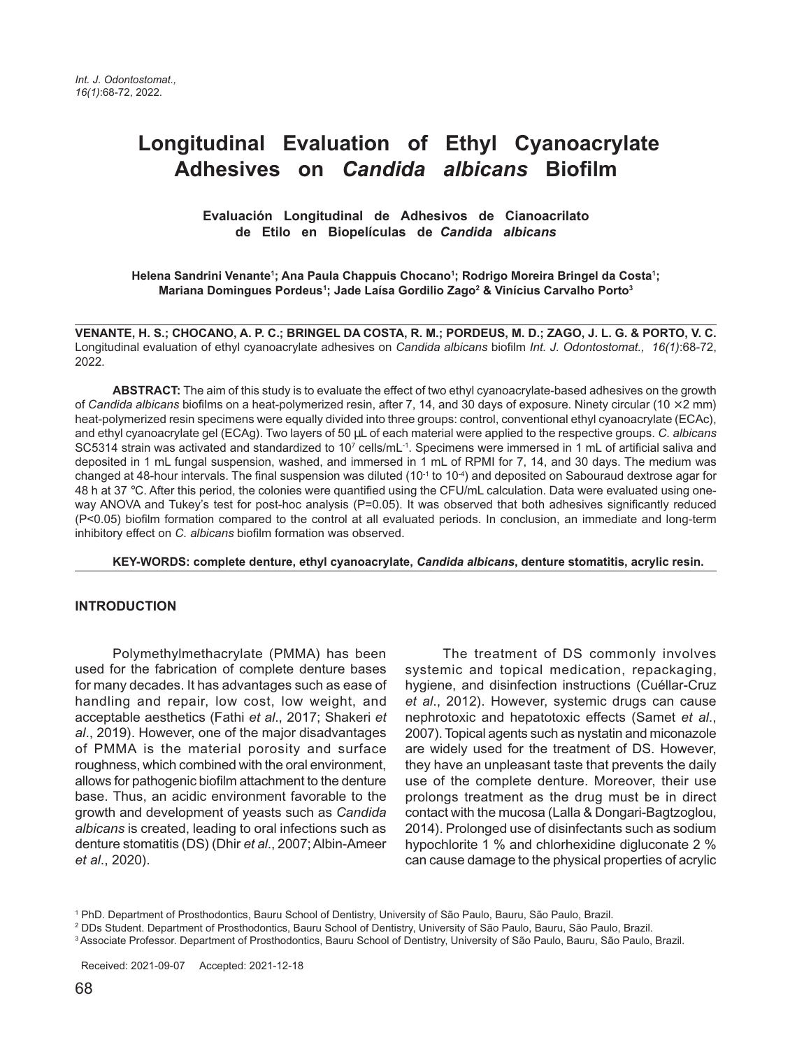# **Longitudinal Evaluation of Ethyl Cyanoacrylate Adhesives on** *Candida albicans* **Biofilm**

 **Evaluación Longitudinal de Adhesivos de Cianoacrilato de Etilo en Biopelículas de** *Candida albicans*

Helena Sandrini Venante<sup>1</sup>; Ana Paula Chappuis Chocano<sup>1</sup>; Rodrigo Moreira Bringel da Costa<sup>1</sup>; **Mariana Domingues Pordeus1 ; Jade Laísa Gordilio Zago2 & Vinícius Carvalho Porto3**

**VENANTE, H. S.; CHOCANO, A. P. C.; BRINGEL DA COSTA, R. M.; PORDEUS, M. D.; ZAGO, J. L. G. & PORTO, V. C.** Longitudinal evaluation of ethyl cyanoacrylate adhesives on *Candida albicans* biofilm *Int. J. Odontostomat., 16(1)*:68-72, 2022.

**ABSTRACT:** The aim of this study is to evaluate the effect of two ethyl cyanoacrylate-based adhesives on the growth of *Candida albicans* biofilms on a heat-polymerized resin, after 7, 14, and 30 days of exposure. Ninety circular (10 × 2 mm) heat-polymerized resin specimens were equally divided into three groups: control, conventional ethyl cyanoacrylate (ECAc), and ethyl cyanoacrylate gel (ECAg). Two layers of 50 µL of each material were applied to the respective groups. *C. albicans* SC5314 strain was activated and standardized to 10<sup>7</sup> cells/mL<sup>-1</sup>. Specimens were immersed in 1 mL of artificial saliva and deposited in 1 mL fungal suspension, washed, and immersed in 1 mL of RPMI for 7, 14, and 30 days. The medium was changed at 48-hour intervals. The final suspension was diluted ( $10^{-1}$  to  $10^{-4}$ ) and deposited on Sabouraud dextrose agar for 48 h at 37 °C. After this period, the colonies were quantified using the CFU/mL calculation. Data were evaluated using oneway ANOVA and Tukey's test for post-hoc analysis (P=0.05). It was observed that both adhesives significantly reduced (P<0.05) biofilm formation compared to the control at all evaluated periods. In conclusion, an immediate and long-term inhibitory effect on *C. albicans* biofilm formation was observed.

**KEY-WORDS: complete denture, ethyl cyanoacrylate,** *Candida albicans***, denture stomatitis, acrylic resin.**

#### **INTRODUCTION**

Polymethylmethacrylate (PMMA) has been used for the fabrication of complete denture bases for many decades. It has advantages such as ease of handling and repair, low cost, low weight, and acceptable aesthetics (Fathi *et al*., 2017; Shakeri *et al*., 2019). However, one of the major disadvantages of PMMA is the material porosity and surface roughness, which combined with the oral environment, allows for pathogenic biofilm attachment to the denture base. Thus, an acidic environment favorable to the growth and development of yeasts such as *Candida albicans* is created, leading to oral infections such as denture stomatitis (DS) (Dhir *et al*., 2007; Albin-Ameer *et al*., 2020).

The treatment of DS commonly involves systemic and topical medication, repackaging, hygiene, and disinfection instructions (Cuéllar-Cruz *et al*., 2012). However, systemic drugs can cause nephrotoxic and hepatotoxic effects (Samet *et al*., 2007). Topical agents such as nystatin and miconazole are widely used for the treatment of DS. However, they have an unpleasant taste that prevents the daily use of the complete denture. Moreover, their use prolongs treatment as the drug must be in direct contact with the mucosa (Lalla & Dongari-Bagtzoglou, 2014). Prolonged use of disinfectants such as sodium hypochlorite 1 % and chlorhexidine digluconate 2 % can cause damage to the physical properties of acrylic

<sup>1</sup> PhD. Department of Prosthodontics, Bauru School of Dentistry, University of São Paulo, Bauru, São Paulo, Brazil.

<sup>2</sup> DDs Student. Department of Prosthodontics, Bauru School of Dentistry, University of São Paulo, Bauru, São Paulo, Brazil.

<sup>3</sup> Associate Professor. Department of Prosthodontics, Bauru School of Dentistry, University of São Paulo, Bauru, São Paulo, Brazil.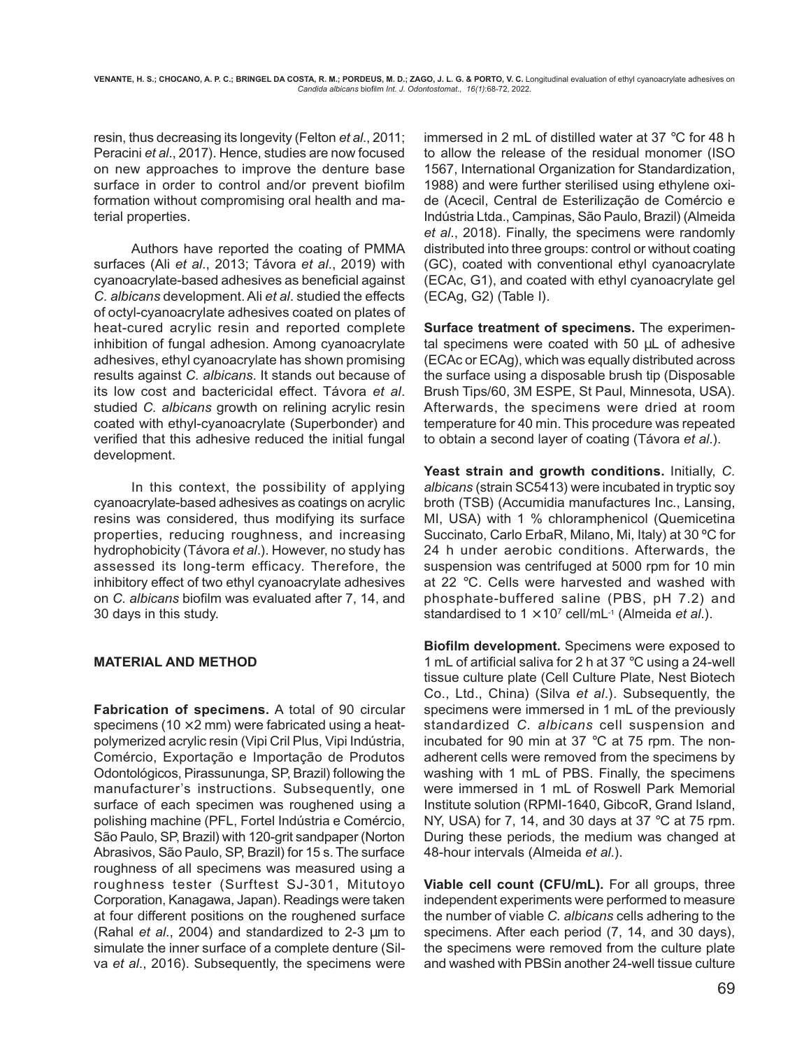resin, thus decreasing its longevity (Felton *et al*., 2011; Peracini *et al*., 2017). Hence, studies are now focused on new approaches to improve the denture base surface in order to control and/or prevent biofilm formation without compromising oral health and material properties.

Authors have reported the coating of PMMA surfaces (Ali *et al*., 2013; Távora *et al*., 2019) with cyanoacrylate-based adhesives as beneficial against *C. albicans* development. Ali *et al*. studied the effects of octyl-cyanoacrylate adhesives coated on plates of heat-cured acrylic resin and reported complete inhibition of fungal adhesion. Among cyanoacrylate adhesives, ethyl cyanoacrylate has shown promising results against *C. albicans*. It stands out because of its low cost and bactericidal effect. Távora *et al*. studied *C. albicans* growth on relining acrylic resin coated with ethyl-cyanoacrylate (Superbonder) and verified that this adhesive reduced the initial fungal development.

In this context, the possibility of applying cyanoacrylate-based adhesives as coatings on acrylic resins was considered, thus modifying its surface properties, reducing roughness, and increasing hydrophobicity (Távora *et al*.). However, no study has assessed its long-term efficacy. Therefore, the inhibitory effect of two ethyl cyanoacrylate adhesives on *C. albicans* biofilm was evaluated after 7, 14, and 30 days in this study.

### **MATERIAL AND METHOD**

**Fabrication of specimens.** A total of 90 circular specimens (10  $\times$  2 mm) were fabricated using a heatpolymerized acrylic resin (Vipi Cril Plus, Vipi Indústria, Comércio, Exportação e Importação de Produtos Odontológicos, Pirassununga, SP, Brazil) following the manufacturer's instructions. Subsequently, one surface of each specimen was roughened using a polishing machine (PFL, Fortel Indústria e Comércio, São Paulo, SP, Brazil) with 120-grit sandpaper (Norton Abrasivos, São Paulo, SP, Brazil) for 15 s. The surface roughness of all specimens was measured using a roughness tester (Surftest SJ-301, Mitutoyo Corporation, Kanagawa, Japan). Readings were taken at four different positions on the roughened surface (Rahal *et al*., 2004) and standardized to 2-3 µm to simulate the inner surface of a complete denture (Silva *et al*., 2016). Subsequently, the specimens were

immersed in 2 mL of distilled water at 37 °C for 48 h to allow the release of the residual monomer (ISO 1567, International Organization for Standardization, 1988) and were further sterilised using ethylene oxide (Acecil, Central de Esterilização de Comércio e Indústria Ltda., Campinas, São Paulo, Brazil) (Almeida *et al*., 2018). Finally, the specimens were randomly distributed into three groups: control or without coating (GC), coated with conventional ethyl cyanoacrylate (ECAc, G1), and coated with ethyl cyanoacrylate gel (ECAg, G2) (Table I).

**Surface treatment of specimens.** The experimental specimens were coated with 50 µL of adhesive (ECAc or ECAg), which was equally distributed across the surface using a disposable brush tip (Disposable Brush Tips/60, 3M ESPE, St Paul, Minnesota, USA). Afterwards, the specimens were dried at room temperature for 40 min. This procedure was repeated to obtain a second layer of coating (Távora *et al*.).

**Yeast strain and growth conditions.** Initially, *C. albicans* (strain SC5413) were incubated in tryptic soy broth (TSB) (Accumidia manufactures Inc., Lansing, MI, USA) with 1 % chloramphenicol (Quemicetina Succinato, Carlo ErbaR, Milano, Mi, Italy) at 30 ºC for 24 h under aerobic conditions. Afterwards, the suspension was centrifuged at 5000 rpm for 10 min at 22 °C. Cells were harvested and washed with phosphate-buffered saline (PBS, pH 7.2) and standardised to 1 × 107 cell/mL-1 (Almeida *et al*.).

**Biofilm development.** Specimens were exposed to 1 mL of artificial saliva for 2 h at 37 °C using a 24-well tissue culture plate (Cell Culture Plate, Nest Biotech Co., Ltd., China) (Silva *et al*.). Subsequently, the specimens were immersed in 1 mL of the previously standardized *C. albicans* cell suspension and incubated for 90 min at 37 °C at 75 rpm. The nonadherent cells were removed from the specimens by washing with 1 mL of PBS. Finally, the specimens were immersed in 1 mL of Roswell Park Memorial Institute solution (RPMI-1640, GibcoR, Grand Island, NY, USA) for 7, 14, and 30 days at 37 °C at 75 rpm. During these periods, the medium was changed at 48-hour intervals (Almeida *et al*.).

**Viable cell count (CFU/mL).** For all groups, three independent experiments were performed to measure the number of viable *C. albicans* cells adhering to the specimens. After each period (7, 14, and 30 days), the specimens were removed from the culture plate and washed with PBSin another 24-well tissue culture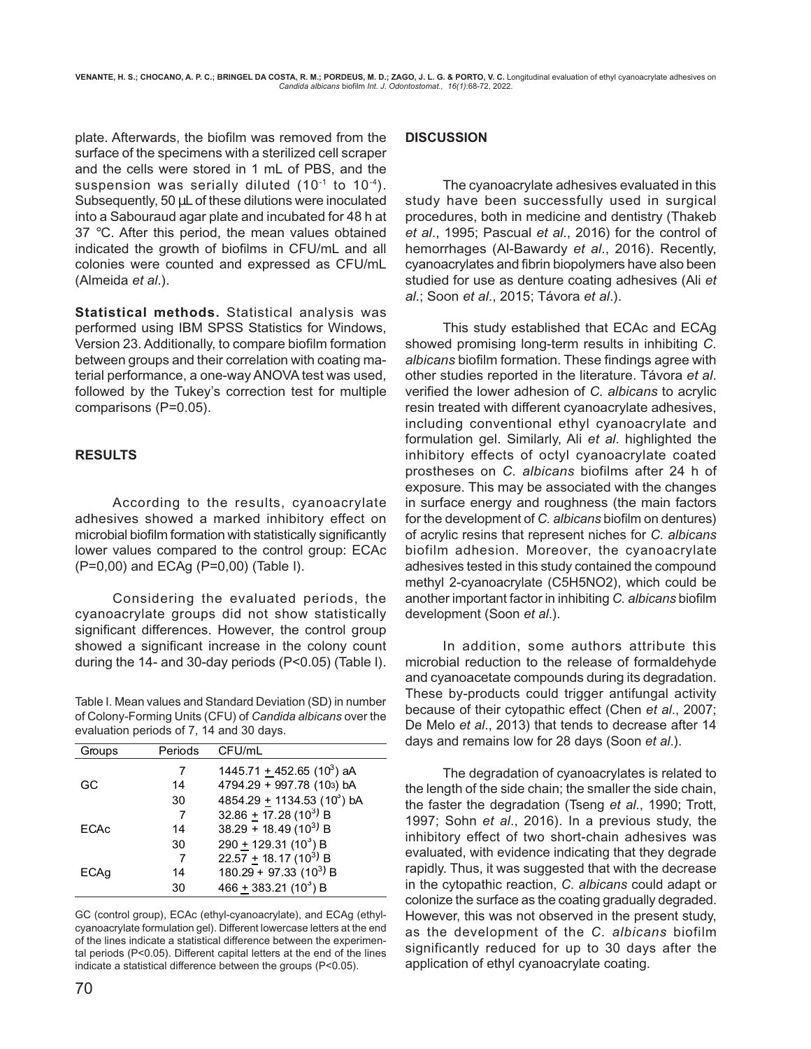plate. Afterwards, the biofilm was removed from the surface of the specimens with a sterilized cell scraper and the cells were stored in 1 mL of PBS, and the suspension was serially diluted  $(10^{-1}$  to  $10^{-4})$ . Subsequently, 50  $\mu$ L of these dilutions were inoculated into a Sabouraud agar plate and incubated for 48 h at 37 °C. After this period, the mean values obtained indicated the growth of biofilms in CFU/mL and all colonies were counted and expressed as CFU/mL (Almeida *et al*.).

**Statistical methods.** Statistical analysis was performed using IBM SPSS Statistics for Windows, Version 23. Additionally, to compare biofilm formation between groups and their correlation with coating material performance, a one-way ANOVA test was used, followed by the Tukey's correction test for multiple comparisons (P=0.05).

## **RESULTS**

According to the results, cyanoacrylate adhesives showed a marked inhibitory effect on microbial biofilm formation with statistically significantly lower values compared to the control group: ECAc (P=0,00) and ECAg (P=0,00) (Table I).

Considering the evaluated periods, the cyanoacrylate groups did not show statistically significant differences. However, the control group showed a significant increase in the colony count during the 14- and 30-day periods (P<0.05) (Table I).

Table I. Mean values and Standard Deviation (SD) in number of Colony-Forming Units (CFU) of *Candida albicans* over the evaluation periods of 7, 14 and 30 days.

| Groups      | Periods | CFU/mL                                  |
|-------------|---------|-----------------------------------------|
|             |         | 1445.71 + 452.65 (10 <sup>3</sup> ) aA  |
| GC          | 14      | 4794.29 + 997.78 (103) bA               |
|             | 30      | 4854.29 ± 1134.53 (10 <sup>3</sup> ) bA |
|             |         | 32.86 + $17.28(10^3)$ B                 |
| <b>FCAc</b> | 14      | 38.29 + 18.49 (10 <sup>3)</sup> B       |
|             | 30      | 290 ± 129.31 (10 <sup>3</sup> ) B       |
|             | 7       | $22.57 + 18.17(10^3)$ B                 |
| ECAq        | 14      | $180.29 + 97.33(10^3)$ B                |
|             | 30      | $466 + 383.21(10^3) B$                  |

GC (control group), ECAc (ethyl-cyanoacrylate), and ECAg (ethylcyanoacrylate formulation gel). Different lowercase letters at the end of the lines indicate a statistical difference between the experimental periods (P<0.05). Different capital letters at the end of the lines indicate a statistical difference between the groups (P<0.05).

The cyanoacrylate adhesives evaluated in this study have been successfully used in surgical procedures, both in medicine and dentistry (Thakeb *et al*., 1995; Pascual *et al*., 2016) for the control of hemorrhages (Al-Bawardy *et al*., 2016). Recently, cyanoacrylates and fibrin biopolymers have also been studied for use as denture coating adhesives (Ali *et al*.; Soon *et al*., 2015; Távora *et al*.).

This study established that ECAc and ECAg showed promising long-term results in inhibiting *C. albicans* biofilm formation. These findings agree with other studies reported in the literature. Távora *et al*. verified the lower adhesion of *C. albicans* to acrylic resin treated with different cyanoacrylate adhesives, including conventional ethyl cyanoacrylate and formulation gel. Similarly, Ali *et al*. highlighted the inhibitory effects of octyl cyanoacrylate coated prostheses on *C. albicans* biofilms after 24 h of exposure. This may be associated with the changes in surface energy and roughness (the main factors for the development of *C. albicans* biofilm on dentures) of acrylic resins that represent niches for *C. albicans* biofilm adhesion. Moreover, the cyanoacrylate adhesives tested in this study contained the compound methyl 2-cyanoacrylate (C5H5NO2), which could be another important factor in inhibiting *C. albicans* biofilm development (Soon *et al*.).

In addition, some authors attribute this microbial reduction to the release of formaldehyde and cyanoacetate compounds during its degradation. These by-products could trigger antifungal activity because of their cytopathic effect (Chen *et al*., 2007; De Melo *et al*., 2013) that tends to decrease after 14 days and remains low for 28 days (Soon *et al*.).

The degradation of cyanoacrylates is related to the length of the side chain; the smaller the side chain, the faster the degradation (Tseng *et al*., 1990; Trott, 1997; Sohn *et al*., 2016). In a previous study, the inhibitory effect of two short-chain adhesives was evaluated, with evidence indicating that they degrade rapidly. Thus, it was suggested that with the decrease in the cytopathic reaction, *C. albicans* could adapt or colonize the surface as the coating gradually degraded. However, this was not observed in the present study, as the development of the *C. albicans* biofilm significantly reduced for up to 30 days after the application of ethyl cyanoacrylate coating.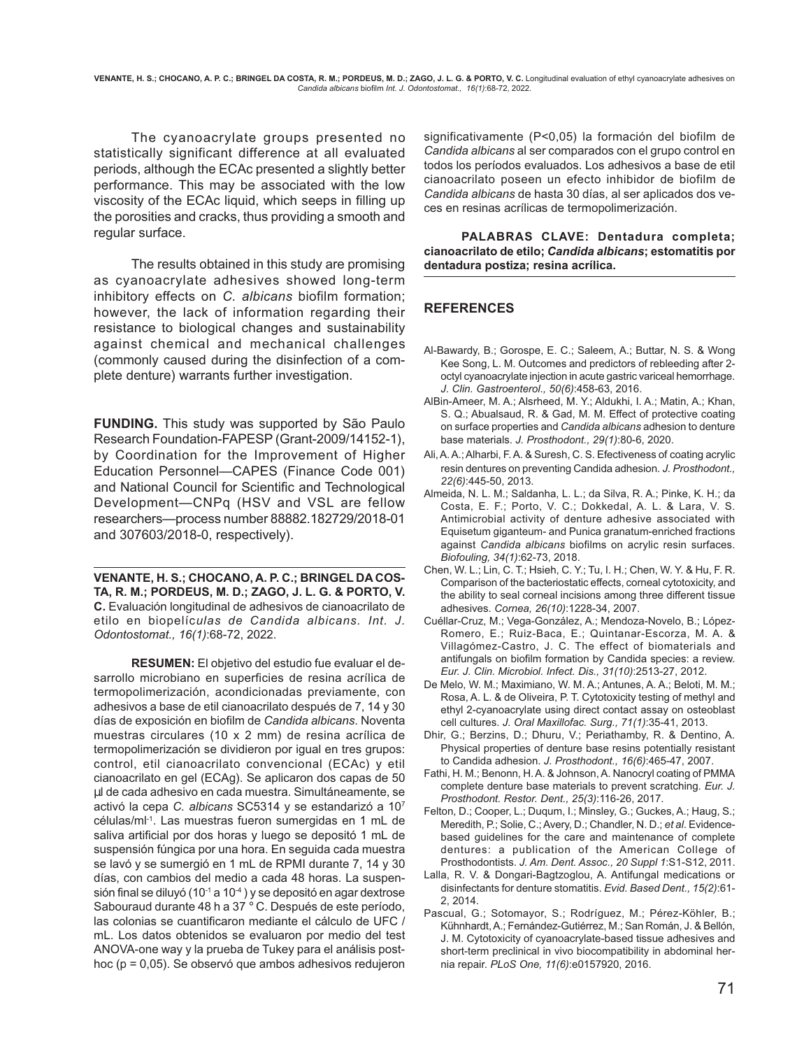**VENANTE, H. S.; CHOCANO, A. P. C.; BRINGEL DA COSTA, R. M.; PORDEUS, M. D.; ZAGO, J. L. G. & PORTO, V. C.** Longitudinal evaluation of ethyl cyanoacrylate adhesives on *Candida albicans* biofilm *Int. J. Odontostomat., 16(1)*:68-72, 2022.

The cyanoacrylate groups presented no statistically significant difference at all evaluated periods, although the ECAc presented a slightly better performance. This may be associated with the low viscosity of the ECAc liquid, which seeps in filling up the porosities and cracks, thus providing a smooth and regular surface.

The results obtained in this study are promising as cyanoacrylate adhesives showed long-term inhibitory effects on *C. albicans* biofilm formation; however, the lack of information regarding their resistance to biological changes and sustainability against chemical and mechanical challenges (commonly caused during the disinfection of a complete denture) warrants further investigation.

**FUNDING.** This study was supported by São Paulo Research Foundation-FAPESP (Grant-2009/14152-1), by Coordination for the Improvement of Higher Education Personnel—CAPES (Finance Code 001) and National Council for Scientific and Technological Development—CNPq (HSV and VSL are fellow researchers—process number 88882.182729/2018-01 and 307603/2018-0, respectively).

**VENANTE, H. S.; CHOCANO, A. P. C.; BRINGEL DA COS-TA, R. M.; PORDEUS, M. D.; ZAGO, J. L. G. & PORTO, V. C.** Evaluación longitudinal de adhesivos de cianoacrilato de etilo en biopelíc*ulas de Candida albicans. Int. J. Odontostomat., 16(1)*:68-72, 2022.

**RESUMEN:** El objetivo del estudio fue evaluar el desarrollo microbiano en superficies de resina acrílica de termopolimerización, acondicionadas previamente, con adhesivos a base de etil cianoacrilato después de 7, 14 y 30 días de exposición en biofilm de *Candida albicans*. Noventa muestras circulares (10 x 2 mm) de resina acrílica de termopolimerización se dividieron por igual en tres grupos: control, etil cianoacrilato convencional (ECAc) y etil cianoacrilato en gel (ECAg). Se aplicaron dos capas de 50 µl de cada adhesivo en cada muestra. Simultáneamente, se activó la cepa *C. albicans* SC5314 y se estandarizó a 107 células/ml-1. Las muestras fueron sumergidas en 1 mL de saliva artificial por dos horas y luego se depositó 1 mL de suspensión fúngica por una hora. En seguida cada muestra se lavó y se sumergió en 1 mL de RPMI durante 7, 14 y 30 días, con cambios del medio a cada 48 horas. La suspensión final se diluyó (10 $1$  a 10 $4$ ) y se depositó en agar dextrose Sabouraud durante 48 h a 37 ° C. Después de este período, las colonias se cuantificaron mediante el cálculo de UFC / mL. Los datos obtenidos se evaluaron por medio del test ANOVA-one way y la prueba de Tukey para el análisis posthoc (p = 0,05). Se observó que ambos adhesivos redujeron

significativamente (P<0,05) la formación del biofilm de *Candida albicans* al ser comparados con el grupo control en todos los períodos evaluados. Los adhesivos a base de etil cianoacrilato poseen un efecto inhibidor de biofilm de *Candida albicans* de hasta 30 días, al ser aplicados dos veces en resinas acrílicas de termopolimerización.

**PALABRAS CLAVE: Dentadura completa; cianoacrilato de etilo;** *Candida albicans***; estomatitis por dentadura postiza; resina acrílica.**

#### **REFERENCES**

- Al-Bawardy, B.; Gorospe, E. C.; Saleem, A.; Buttar, N. S. & Wong Kee Song, L. M. Outcomes and predictors of rebleeding after 2 octyl cyanoacrylate injection in acute gastric variceal hemorrhage. *J. Clin. Gastroenterol., 50(6)*:458-63, 2016.
- AlBin-Ameer, M. A.; Alsrheed, M. Y.; Aldukhi, I. A.; Matin, A.; Khan, S. Q.; Abualsaud, R. & Gad, M. M. Effect of protective coating on surface properties and *Candida albicans* adhesion to denture base materials. *J. Prosthodont., 29(1)*:80-6, 2020.
- Ali, A. A.; Alharbi, F. A. & Suresh, C. S. Efectiveness of coating acrylic resin dentures on preventing Candida adhesion. *J. Prosthodont., 22(6)*:445-50, 2013.
- Almeida, N. L. M.; Saldanha, L. L.; da Silva, R. A.; Pinke, K. H.; da Costa, E. F.; Porto, V. C.; Dokkedal, A. L. & Lara, V. S. Antimicrobial activity of denture adhesive associated with Equisetum giganteum- and Punica granatum-enriched fractions against *Candida albicans* biofilms on acrylic resin surfaces. *Biofouling, 34(1)*:62-73, 2018.
- Chen, W. L.; Lin, C. T.; Hsieh, C. Y.; Tu, I. H.; Chen, W. Y. & Hu, F. R. Comparison of the bacteriostatic effects, corneal cytotoxicity, and the ability to seal corneal incisions among three different tissue adhesives. *Cornea, 26(10)*:1228-34, 2007.
- Cuéllar-Cruz, M.; Vega-González, A.; Mendoza-Novelo, B.; López-Romero, E.; Ruiz-Baca, E.; Quintanar-Escorza, M. A. & Villagómez-Castro, J. C. The effect of biomaterials and antifungals on biofilm formation by Candida species: a review. *Eur. J. Clin. Microbiol. Infect. Dis., 31(10)*:2513-27, 2012.
- De Melo, W. M.; Maximiano, W. M. A.; Antunes, A. A.; Beloti, M. M.; Rosa, A. L. & de Oliveira, P. T. Cytotoxicity testing of methyl and ethyl 2-cyanoacrylate using direct contact assay on osteoblast cell cultures. *J. Oral Maxillofac. Surg., 71(1)*:35-41, 2013.
- Dhir, G.; Berzins, D.; Dhuru, V.; Periathamby, R. & Dentino, A. Physical properties of denture base resins potentially resistant to Candida adhesion. *J. Prosthodont., 16(6)*:465-47, 2007.
- Fathi, H. M.; Benonn, H. A. & Johnson, A. Nanocryl coating of PMMA complete denture base materials to prevent scratching. *Eur. J. Prosthodont. Restor. Dent., 25(3)*:116-26, 2017.
- Felton, D.; Cooper, L.; Duqum, I.; Minsley, G.; Guckes, A.; Haug, S.; Meredith, P.; Solie, C.; Avery, D.; Chandler, N. D.; *et al*. Evidencebased guidelines for the care and maintenance of complete dentures: a publication of the American College of Prosthodontists. *J. Am. Dent. Assoc., 20 Suppl 1*:S1-S12, 2011.
- Lalla, R. V. & Dongari-Bagtzoglou, A. Antifungal medications or disinfectants for denture stomatitis. *Evid. Based Dent., 15(2)*:61- 2, 2014.
- Pascual, G.; Sotomayor, S.; Rodríguez, M.; Pérez-Köhler, B.; Kühnhardt, A.; Fernández-Gutiérrez, M.; San Román, J. & Bellón, J. M. Cytotoxicity of cyanoacrylate-based tissue adhesives and short-term preclinical in vivo biocompatibility in abdominal hernia repair. *PLoS One, 11(6)*:e0157920, 2016.